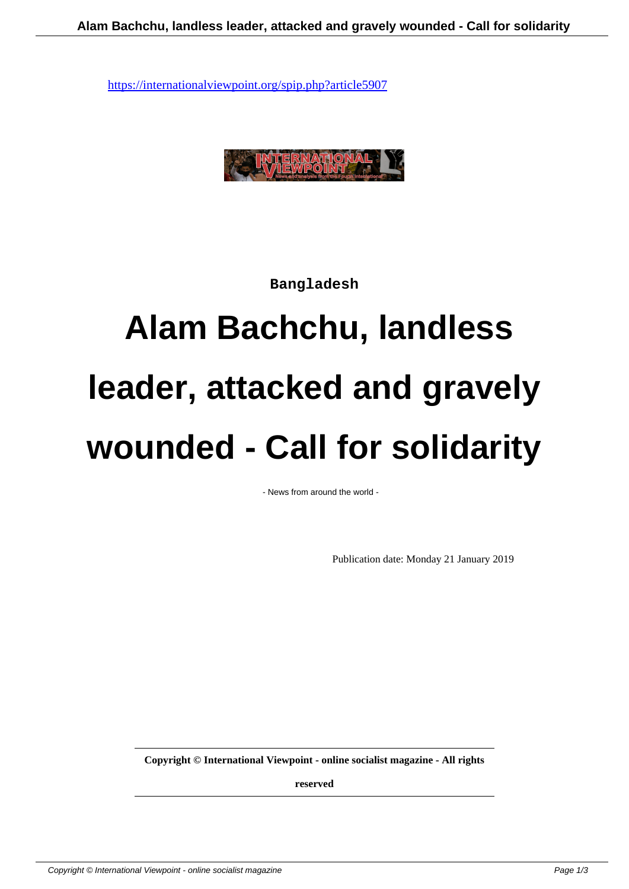

**Bangladesh**

# **Alam Bachchu, landless leader, attacked and gravely wounded - Call for solidarity**

- News from around the world -

Publication date: Monday 21 January 2019

**Copyright © International Viewpoint - online socialist magazine - All rights**

**reserved**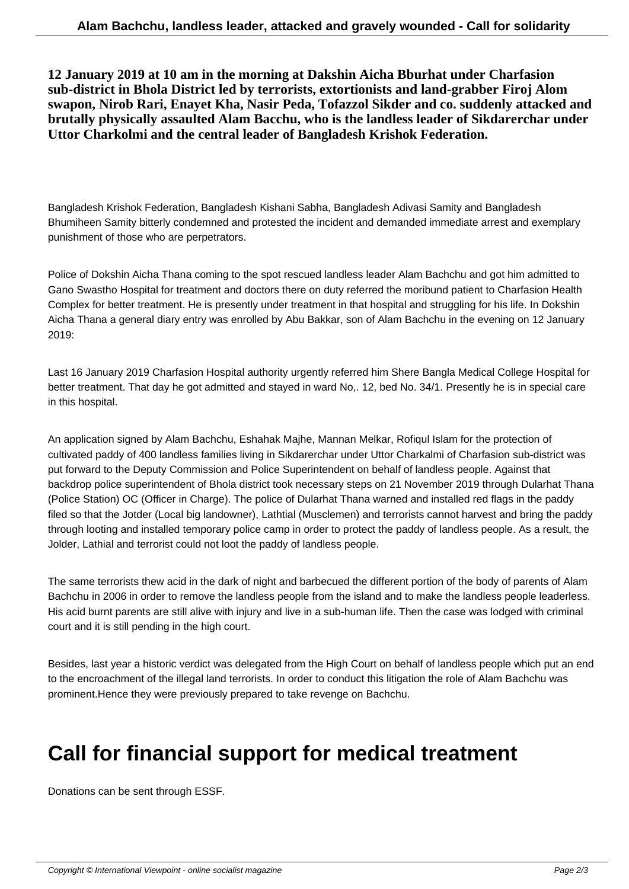**12 January 2019 at 10 am in the morning at Dakshin Aicha Bburhat under Charfasion sub-district in Bhola District led by terrorists, extortionists and land-grabber Firoj Alom swapon, Nirob Rari, Enayet Kha, Nasir Peda, Tofazzol Sikder and co. suddenly attacked and brutally physically assaulted Alam Bacchu, who is the landless leader of Sikdarerchar under Uttor Charkolmi and the central leader of Bangladesh Krishok Federation.**

Bangladesh Krishok Federation, Bangladesh Kishani Sabha, Bangladesh Adivasi Samity and Bangladesh Bhumiheen Samity bitterly condemned and protested the incident and demanded immediate arrest and exemplary punishment of those who are perpetrators.

Police of Dokshin Aicha Thana coming to the spot rescued landless leader Alam Bachchu and got him admitted to Gano Swastho Hospital for treatment and doctors there on duty referred the moribund patient to Charfasion Health Complex for better treatment. He is presently under treatment in that hospital and struggling for his life. In Dokshin Aicha Thana a general diary entry was enrolled by Abu Bakkar, son of Alam Bachchu in the evening on 12 January 2019:

Last 16 January 2019 Charfasion Hospital authority urgently referred him Shere Bangla Medical College Hospital for better treatment. That day he got admitted and stayed in ward No,. 12, bed No. 34/1. Presently he is in special care in this hospital.

An application signed by Alam Bachchu, Eshahak Majhe, Mannan Melkar, Rofiqul Islam for the protection of cultivated paddy of 400 landless families living in Sikdarerchar under Uttor Charkalmi of Charfasion sub-district was put forward to the Deputy Commission and Police Superintendent on behalf of landless people. Against that backdrop police superintendent of Bhola district took necessary steps on 21 November 2019 through Dularhat Thana (Police Station) OC (Officer in Charge). The police of Dularhat Thana warned and installed red flags in the paddy filed so that the Jotder (Local big landowner), Lathtial (Musclemen) and terrorists cannot harvest and bring the paddy through looting and installed temporary police camp in order to protect the paddy of landless people. As a result, the Jolder, Lathial and terrorist could not loot the paddy of landless people.

The same terrorists thew acid in the dark of night and barbecued the different portion of the body of parents of Alam Bachchu in 2006 in order to remove the landless people from the island and to make the landless people leaderless. His acid burnt parents are still alive with injury and live in a sub-human life. Then the case was lodged with criminal court and it is still pending in the high court.

Besides, last year a historic verdict was delegated from the High Court on behalf of landless people which put an end to the encroachment of the illegal land terrorists. In order to conduct this litigation the role of Alam Bachchu was prominent.Hence they were previously prepared to take revenge on Bachchu.

# **Call for financial support for medical treatment**

Donations can be sent through ESSF.